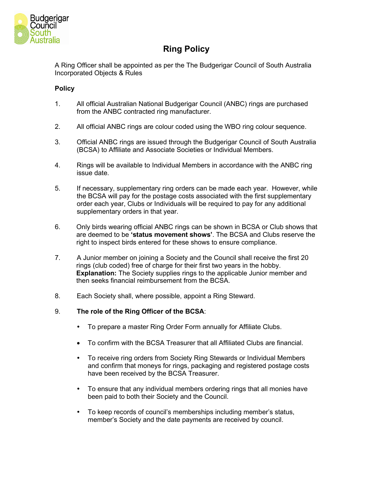

# **Ring Policy**

A Ring Officer shall be appointed as per the The Budgerigar Council of South Australia Incorporated Objects & Rules

## **Policy**

- 1. All official Australian National Budgerigar Council (ANBC) rings are purchased from the ANBC contracted ring manufacturer.
- 2. All official ANBC rings are colour coded using the WBO ring colour sequence.
- 3. Official ANBC rings are issued through the Budgerigar Council of South Australia (BCSA) to Affiliate and Associate Societies or Individual Members.
- 4. Rings will be available to Individual Members in accordance with the ANBC ring issue date.
- 5. If necessary, supplementary ring orders can be made each year. However, while the BCSA will pay for the postage costs associated with the first supplementary order each year, Clubs or Individuals will be required to pay for any additional supplementary orders in that year.
- 6. Only birds wearing official ANBC rings can be shown in BCSA or Club shows that are deemed to be **'status movement shows'**. The BCSA and Clubs reserve the right to inspect birds entered for these shows to ensure compliance.
- 7. A Junior member on joining a Society and the Council shall receive the first 20 rings (club coded) free of charge for their first two years in the hobby. **Explanation:** The Society supplies rings to the applicable Junior member and then seeks financial reimbursement from the BCSA.
- 8. Each Society shall, where possible, appoint a Ring Steward.
- 9. **The role of the Ring Officer of the BCSA**:
	- To prepare a master Ring Order Form annually for Affiliate Clubs.
	- To confirm with the BCSA Treasurer that all Affiliated Clubs are financial.
	- To receive ring orders from Society Ring Stewards or Individual Members and confirm that moneys for rings, packaging and registered postage costs have been received by the BCSA Treasurer.
	- To ensure that any individual members ordering rings that all monies have been paid to both their Society and the Council.
	- To keep records of council's memberships including member's status, member's Society and the date payments are received by council.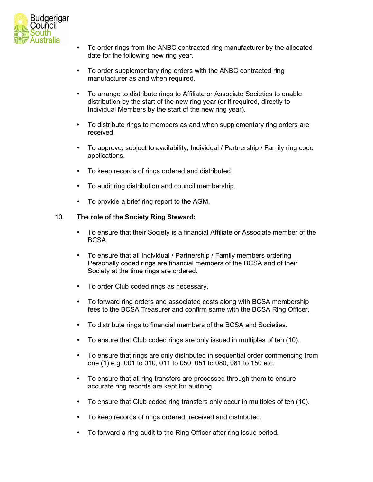

- To order rings from the ANBC contracted ring manufacturer by the allocated date for the following new ring year.
- To order supplementary ring orders with the ANBC contracted ring manufacturer as and when required.
- To arrange to distribute rings to Affiliate or Associate Societies to enable distribution by the start of the new ring year (or if required, directly to Individual Members by the start of the new ring year).
- To distribute rings to members as and when supplementary ring orders are received,
- To approve, subject to availability, Individual / Partnership / Family ring code applications.
- To keep records of rings ordered and distributed.
- To audit ring distribution and council membership.
- To provide a brief ring report to the AGM.

### 10. **The role of the Society Ring Steward:**

- To ensure that their Society is a financial Affiliate or Associate member of the **BCSA**
- To ensure that all Individual / Partnership / Family members ordering Personally coded rings are financial members of the BCSA and of their Society at the time rings are ordered.
- To order Club coded rings as necessary.
- To forward ring orders and associated costs along with BCSA membership fees to the BCSA Treasurer and confirm same with the BCSA Ring Officer.
- To distribute rings to financial members of the BCSA and Societies.
- To ensure that Club coded rings are only issued in multiples of ten (10).
- To ensure that rings are only distributed in sequential order commencing from one (1) e.g. 001 to 010, 011 to 050, 051 to 080, 081 to 150 etc.
- To ensure that all ring transfers are processed through them to ensure accurate ring records are kept for auditing.
- To ensure that Club coded ring transfers only occur in multiples of ten (10).
- To keep records of rings ordered, received and distributed.
- To forward a ring audit to the Ring Officer after ring issue period.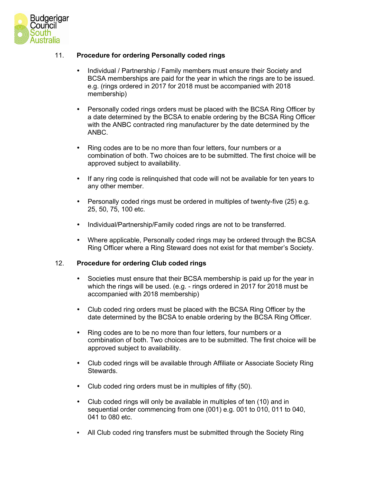

## 11. **Procedure for ordering Personally coded rings**

- Individual / Partnership / Family members must ensure their Society and BCSA memberships are paid for the year in which the rings are to be issued. e.g. (rings ordered in 2017 for 2018 must be accompanied with 2018 membership)
- Personally coded rings orders must be placed with the BCSA Ring Officer by a date determined by the BCSA to enable ordering by the BCSA Ring Officer with the ANBC contracted ring manufacturer by the date determined by the ANBC.
- Ring codes are to be no more than four letters, four numbers or a combination of both. Two choices are to be submitted. The first choice will be approved subject to availability.
- If any ring code is relinquished that code will not be available for ten years to any other member.
- Personally coded rings must be ordered in multiples of twenty-five (25) e.g. 25, 50, 75, 100 etc.
- Individual/Partnership/Family coded rings are not to be transferred.
- Where applicable, Personally coded rings may be ordered through the BCSA Ring Officer where a Ring Steward does not exist for that member's Society.

#### 12. **Procedure for ordering Club coded rings**

- Societies must ensure that their BCSA membership is paid up for the year in which the rings will be used. (e.g. - rings ordered in 2017 for 2018 must be accompanied with 2018 membership)
- Club coded ring orders must be placed with the BCSA Ring Officer by the date determined by the BCSA to enable ordering by the BCSA Ring Officer.
- Ring codes are to be no more than four letters, four numbers or a combination of both. Two choices are to be submitted. The first choice will be approved subject to availability.
- Club coded rings will be available through Affiliate or Associate Society Ring Stewards.
- Club coded ring orders must be in multiples of fifty (50).
- Club coded rings will only be available in multiples of ten (10) and in sequential order commencing from one (001) e.g. 001 to 010, 011 to 040, 041 to 080 etc.
- All Club coded ring transfers must be submitted through the Society Ring